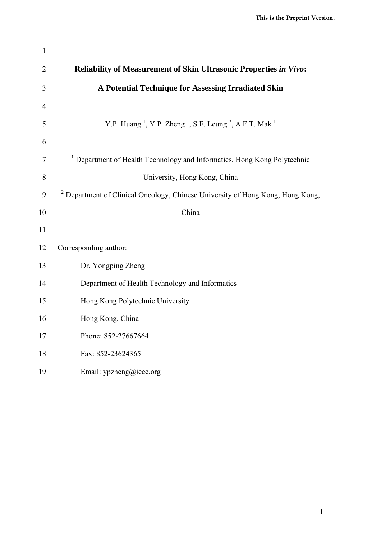| $\mathbf{1}$   |                                                                                                       |
|----------------|-------------------------------------------------------------------------------------------------------|
| $\overline{2}$ | Reliability of Measurement of Skin Ultrasonic Properties in Vivo:                                     |
| 3              | A Potential Technique for Assessing Irradiated Skin                                                   |
| 4              |                                                                                                       |
| 5              | Y.P. Huang <sup>1</sup> , Y.P. Zheng <sup>1</sup> , S.F. Leung <sup>2</sup> , A.F.T. Mak <sup>1</sup> |
| 6              |                                                                                                       |
| 7              | <sup>1</sup> Department of Health Technology and Informatics, Hong Kong Polytechnic                   |
| 8              | University, Hong Kong, China                                                                          |
| 9              | <sup>2</sup> Department of Clinical Oncology, Chinese University of Hong Kong, Hong Kong,             |
| 10             | China                                                                                                 |
| 11             |                                                                                                       |
| 12             | Corresponding author:                                                                                 |
| 13             | Dr. Yongping Zheng                                                                                    |
| 14             | Department of Health Technology and Informatics                                                       |
| 15             | Hong Kong Polytechnic University                                                                      |
| 16             | Hong Kong, China                                                                                      |
| 17             | Phone: 852-27667664                                                                                   |
| 18             | Fax: 852-23624365                                                                                     |
| 19             | Email: ypzheng@ieee.org                                                                               |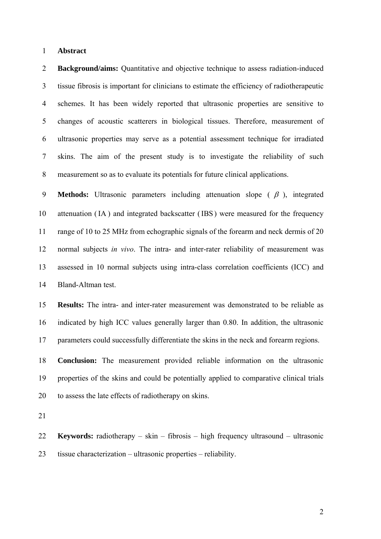#### 1 **Abstract**

2 **Background/aims:** Quantitative and objective technique to assess radiation-induced 3 tissue fibrosis is important for clinicians to estimate the efficiency of radiotherapeutic 4 schemes. It has been widely reported that ultrasonic properties are sensitive to 5 changes of acoustic scatterers in biological tissues. Therefore, measurement of 6 ultrasonic properties may serve as a potential assessment technique for irradiated 7 skins. The aim of the present study is to investigate the reliability of such 8 measurement so as to evaluate its potentials for future clinical applications.

9 **Methods:** Ultrasonic parameters including attenuation slope ( β ), integrated 10 attenuation (IA ) and integrated backscatter (IBS) were measured for the frequency 11 range of 10 to 25 MHz from echographic signals of the forearm and neck dermis of 20 12 normal subjects *in vivo*. The intra- and inter-rater reliability of measurement was 13 assessed in 10 normal subjects using intra-class correlation coefficients (ICC) and 14 Bland-Altman test.

15 **Results:** The intra- and inter-rater measurement was demonstrated to be reliable as 16 indicated by high ICC values generally larger than 0.80. In addition, the ultrasonic 17 parameters could successfully differentiate the skins in the neck and forearm regions.

18 **Conclusion:** The measurement provided reliable information on the ultrasonic 19 properties of the skins and could be potentially applied to comparative clinical trials 20 to assess the late effects of radiotherapy on skins.

21

22 **Keywords:** radiotherapy – skin – fibrosis – high frequency ultrasound – ultrasonic 23 tissue characterization – ultrasonic properties – reliability.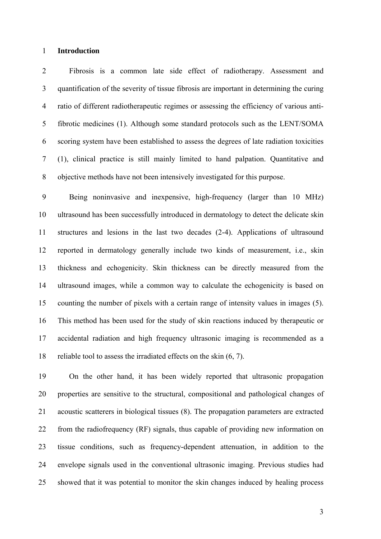#### 1 **Introduction**

2 Fibrosis is a common late side effect of radiotherapy. Assessment and 3 quantification of the severity of tissue fibrosis are important in determining the curing 4 ratio of different radiotherapeutic regimes or assessing the efficiency of various anti-5 fibrotic medicines (1). Although some standard protocols such as the LENT/SOMA 6 scoring system have been established to assess the degrees of late radiation toxicities 7 (1), clinical practice is still mainly limited to hand palpation. Quantitative and 8 objective methods have not been intensively investigated for this purpose.

9 Being noninvasive and inexpensive, high-frequency (larger than 10 MHz) 10 ultrasound has been successfully introduced in dermatology to detect the delicate skin 11 structures and lesions in the last two decades (2-4). Applications of ultrasound 12 reported in dermatology generally include two kinds of measurement, i.e., skin 13 thickness and echogenicity. Skin thickness can be directly measured from the 14 ultrasound images, while a common way to calculate the echogenicity is based on 15 counting the number of pixels with a certain range of intensity values in images (5). 16 This method has been used for the study of skin reactions induced by therapeutic or 17 accidental radiation and high frequency ultrasonic imaging is recommended as a 18 reliable tool to assess the irradiated effects on the skin (6, 7).

19 On the other hand, it has been widely reported that ultrasonic propagation 20 properties are sensitive to the structural, compositional and pathological changes of 21 acoustic scatterers in biological tissues (8). The propagation parameters are extracted 22 from the radiofrequency (RF) signals, thus capable of providing new information on 23 tissue conditions, such as frequency-dependent attenuation, in addition to the 24 envelope signals used in the conventional ultrasonic imaging. Previous studies had 25 showed that it was potential to monitor the skin changes induced by healing process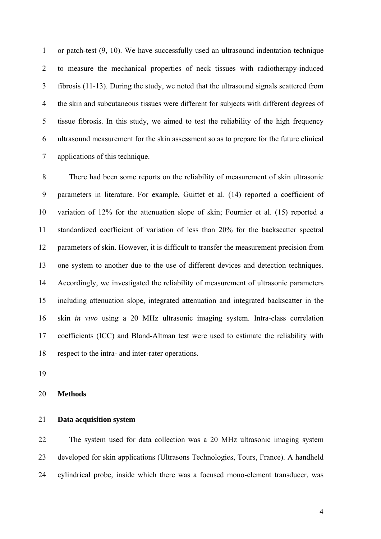1 or patch-test (9, 10). We have successfully used an ultrasound indentation technique 2 to measure the mechanical properties of neck tissues with radiotherapy-induced 3 fibrosis (11-13). During the study, we noted that the ultrasound signals scattered from 4 the skin and subcutaneous tissues were different for subjects with different degrees of 5 tissue fibrosis. In this study, we aimed to test the reliability of the high frequency 6 ultrasound measurement for the skin assessment so as to prepare for the future clinical 7 applications of this technique.

8 There had been some reports on the reliability of measurement of skin ultrasonic 9 parameters in literature. For example, Guittet et al. (14) reported a coefficient of 10 variation of 12% for the attenuation slope of skin; Fournier et al. (15) reported a 11 standardized coefficient of variation of less than 20% for the backscatter spectral 12 parameters of skin. However, it is difficult to transfer the measurement precision from 13 one system to another due to the use of different devices and detection techniques. 14 Accordingly, we investigated the reliability of measurement of ultrasonic parameters 15 including attenuation slope, integrated attenuation and integrated backscatter in the 16 skin *in vivo* using a 20 MHz ultrasonic imaging system. Intra-class correlation 17 coefficients (ICC) and Bland-Altman test were used to estimate the reliability with 18 respect to the intra- and inter-rater operations.

19

#### 20 **Methods**

## 21 **Data acquisition system**

22 The system used for data collection was a 20 MHz ultrasonic imaging system 23 developed for skin applications (Ultrasons Technologies, Tours, France). A handheld 24 cylindrical probe, inside which there was a focused mono-element transducer, was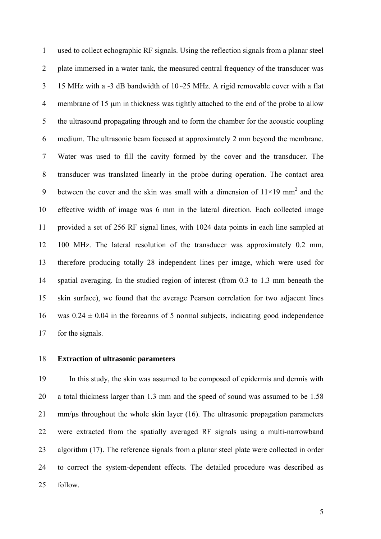1 used to collect echographic RF signals. Using the reflection signals from a planar steel 2 plate immersed in a water tank, the measured central frequency of the transducer was 3 15 MHz with a -3 dB bandwidth of 10~25 MHz. A rigid removable cover with a flat 4 membrane of 15 µm in thickness was tightly attached to the end of the probe to allow 5 the ultrasound propagating through and to form the chamber for the acoustic coupling 6 medium. The ultrasonic beam focused at approximately 2 mm beyond the membrane. 7 Water was used to fill the cavity formed by the cover and the transducer. The 8 transducer was translated linearly in the probe during operation. The contact area 9 between the cover and the skin was small with a dimension of  $11 \times 19$  mm<sup>2</sup> and the 10 effective width of image was 6 mm in the lateral direction. Each collected image 11 provided a set of 256 RF signal lines, with 1024 data points in each line sampled at 12 100 MHz. The lateral resolution of the transducer was approximately 0.2 mm, 13 therefore producing totally 28 independent lines per image, which were used for 14 spatial averaging. In the studied region of interest (from 0.3 to 1.3 mm beneath the 15 skin surface), we found that the average Pearson correlation for two adjacent lines 16 was  $0.24 \pm 0.04$  in the forearms of 5 normal subjects, indicating good independence 17 for the signals.

#### 18 **Extraction of ultrasonic parameters**

19 In this study, the skin was assumed to be composed of epidermis and dermis with 20 a total thickness larger than 1.3 mm and the speed of sound was assumed to be 1.58 21 mm/ $\mu$ s throughout the whole skin layer (16). The ultrasonic propagation parameters 22 were extracted from the spatially averaged RF signals using a multi-narrowband 23 algorithm (17). The reference signals from a planar steel plate were collected in order 24 to correct the system-dependent effects. The detailed procedure was described as 25 follow.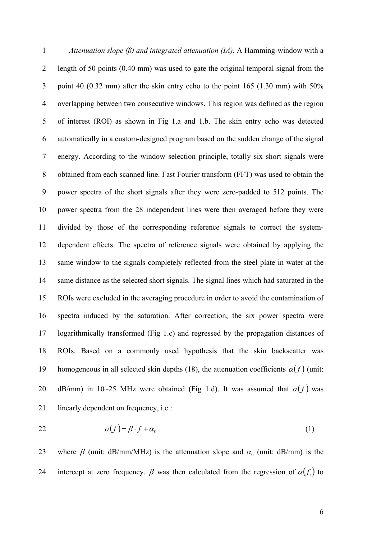1 *Attenuation slope (β) and integrated attenuation (IA)*. A Hamming-window with a 2 length of 50 points (0.40 mm) was used to gate the original temporal signal from the 3 point 40 (0.32 mm) after the skin entry echo to the point 165 (1.30 mm) with 50% 4 overlapping between two consecutive windows. This region was defined as the region 5 of interest (ROI) as shown in Fig 1.a and 1.b. The skin entry echo was detected 6 automatically in a custom-designed program based on the sudden change of the signal 7 energy. According to the window selection principle, totally six short signals were 8 obtained from each scanned line. Fast Fourier transform (FFT) was used to obtain the 9 power spectra of the short signals after they were zero-padded to 512 points. The 10 power spectra from the 28 independent lines were then averaged before they were 11 divided by those of the corresponding reference signals to correct the system-12 dependent effects. The spectra of reference signals were obtained by applying the 13 same window to the signals completely reflected from the steel plate in water at the 14 same distance as the selected short signals. The signal lines which had saturated in the 15 ROIs were excluded in the averaging procedure in order to avoid the contamination of 16 spectra induced by the saturation. After correction, the six power spectra were 17 logarithmically transformed (Fig 1.c) and regressed by the propagation distances of 18 ROIs. Based on a commonly used hypothesis that the skin backscatter was 19 homogeneous in all selected skin depths (18), the attenuation coefficients  $\alpha(f)$  (unit: 20 dB/mm) in 10~25 MHz were obtained (Fig 1.d). It was assumed that  $\alpha(f)$  was 21 linearly dependent on frequency, i.e.:

$$
\alpha(f) = \beta \cdot f + \alpha_0 \tag{1}
$$

23 where  $\beta$  (unit: dB/mm/MHz) is the attenuation slope and  $\alpha_0$  (unit: dB/mm) is the 24 intercept at zero frequency.  $\beta$  was then calculated from the regression of  $\alpha(f_i)$  to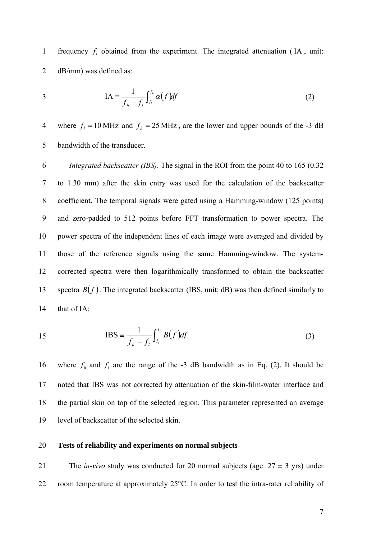1 **frequency**  $f_i$  obtained from the experiment. The integrated attenuation (IA, unit: 2 dB/mm) was defined as:

$$
IA = \frac{1}{f_h - f_l} \int_{f_l}^{f_h} \alpha(f) df \tag{2}
$$

4 where  $f_l = 10 \text{ MHz}$  and  $f_h = 25 \text{ MHz}$ , are the lower and upper bounds of the -3 dB 5 bandwidth of the transducer.

6 *Integrated backscatter (IBS)*. The signal in the ROI from the point 40 to 165 (0.32 7 to 1.30 mm) after the skin entry was used for the calculation of the backscatter 8 coefficient. The temporal signals were gated using a Hamming-window (125 points) 9 and zero-padded to 512 points before FFT transformation to power spectra. The 10 power spectra of the independent lines of each image were averaged and divided by 11 those of the reference signals using the same Hamming-window. The system-12 corrected spectra were then logarithmically transformed to obtain the backscatter 13 spectra  $B(f)$ . The integrated backscatter (IBS, unit: dB) was then defined similarly to 14 that of IA:

$$
15 \tIBS = \frac{1}{f_h - f_l} \int_{f_l}^{f_h} B(f) df \t(3)
$$

16 where  $f_h$  and  $f_l$  are the range of the -3 dB bandwidth as in Eq. (2). It should be 17 noted that IBS was not corrected by attenuation of the skin-film-water interface and 18 the partial skin on top of the selected region. This parameter represented an average 19 level of backscatter of the selected skin.

## 20 **Tests of reliability and experiments on normal subjects**

21 The *in-vivo* study was conducted for 20 normal subjects (age:  $27 \pm 3$  yrs) under 22 room temperature at approximately 25°C. In order to test the intra-rater reliability of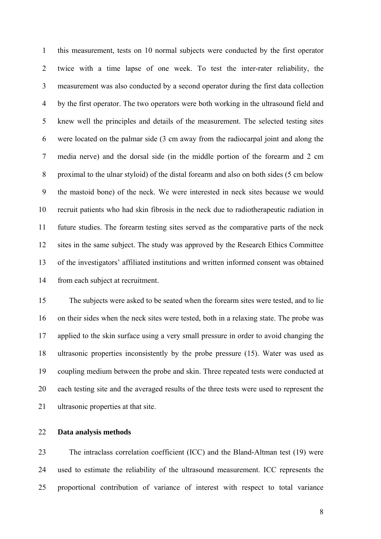1 this measurement, tests on 10 normal subjects were conducted by the first operator 2 twice with a time lapse of one week. To test the inter-rater reliability, the 3 measurement was also conducted by a second operator during the first data collection 4 by the first operator. The two operators were both working in the ultrasound field and 5 knew well the principles and details of the measurement. The selected testing sites 6 were located on the palmar side (3 cm away from the radiocarpal joint and along the 7 media nerve) and the dorsal side (in the middle portion of the forearm and 2 cm 8 proximal to the ulnar styloid) of the distal forearm and also on both sides (5 cm below 9 the mastoid bone) of the neck. We were interested in neck sites because we would 10 recruit patients who had skin fibrosis in the neck due to radiotherapeutic radiation in 11 future studies. The forearm testing sites served as the comparative parts of the neck 12 sites in the same subject. The study was approved by the Research Ethics Committee 13 of the investigators' affiliated institutions and written informed consent was obtained 14 from each subject at recruitment.

15 The subjects were asked to be seated when the forearm sites were tested, and to lie 16 on their sides when the neck sites were tested, both in a relaxing state. The probe was 17 applied to the skin surface using a very small pressure in order to avoid changing the 18 ultrasonic properties inconsistently by the probe pressure (15). Water was used as 19 coupling medium between the probe and skin. Three repeated tests were conducted at 20 each testing site and the averaged results of the three tests were used to represent the 21 ultrasonic properties at that site.

## 22 **Data analysis methods**

23 The intraclass correlation coefficient (ICC) and the Bland-Altman test (19) were 24 used to estimate the reliability of the ultrasound measurement. ICC represents the 25 proportional contribution of variance of interest with respect to total variance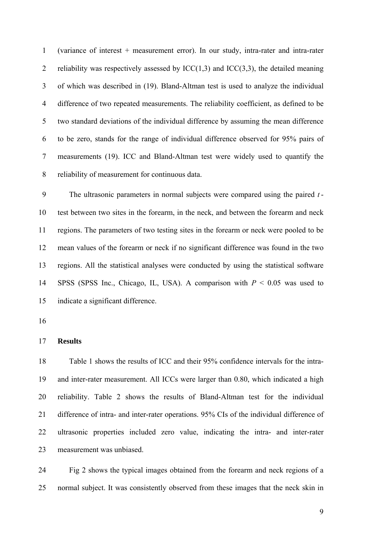1 (variance of interest + measurement error). In our study, intra-rater and intra-rater 2 reliability was respectively assessed by  $ICC(1,3)$  and  $ICC(3,3)$ , the detailed meaning 3 of which was described in (19). Bland-Altman test is used to analyze the individual 4 difference of two repeated measurements. The reliability coefficient, as defined to be 5 two standard deviations of the individual difference by assuming the mean difference 6 to be zero, stands for the range of individual difference observed for 95% pairs of 7 measurements (19). ICC and Bland-Altman test were widely used to quantify the 8 reliability of measurement for continuous data.

9 The ultrasonic parameters in normal subjects were compared using the paired *t* - 10 test between two sites in the forearm, in the neck, and between the forearm and neck 11 regions. The parameters of two testing sites in the forearm or neck were pooled to be 12 mean values of the forearm or neck if no significant difference was found in the two 13 regions. All the statistical analyses were conducted by using the statistical software 14 SPSS (SPSS Inc., Chicago, IL, USA). A comparison with  $P < 0.05$  was used to 15 indicate a significant difference.

16

## 17 **Results**

18 Table 1 shows the results of ICC and their 95% confidence intervals for the intra-19 and inter-rater measurement. All ICCs were larger than 0.80, which indicated a high 20 reliability. Table 2 shows the results of Bland-Altman test for the individual 21 difference of intra- and inter-rater operations. 95% CIs of the individual difference of 22 ultrasonic properties included zero value, indicating the intra- and inter-rater 23 measurement was unbiased.

24 Fig 2 shows the typical images obtained from the forearm and neck regions of a 25 normal subject. It was consistently observed from these images that the neck skin in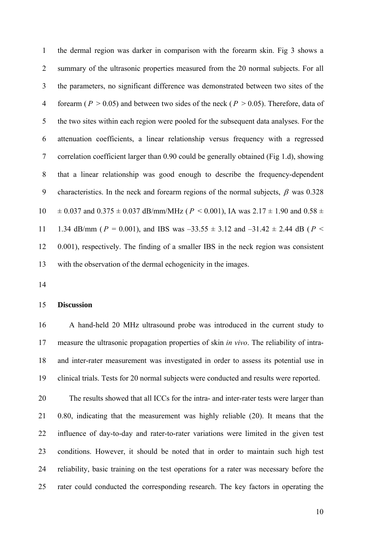1 the dermal region was darker in comparison with the forearm skin. Fig 3 shows a 2 summary of the ultrasonic properties measured from the 20 normal subjects. For all 3 the parameters, no significant difference was demonstrated between two sites of the 4 forearm ( $P > 0.05$ ) and between two sides of the neck ( $P > 0.05$ ). Therefore, data of 5 the two sites within each region were pooled for the subsequent data analyses. For the 6 attenuation coefficients, a linear relationship versus frequency with a regressed 7 correlation coefficient larger than 0.90 could be generally obtained (Fig 1.d), showing 8 that a linear relationship was good enough to describe the frequency-dependent 9 characteristics. In the neck and forearm regions of the normal subjects,  $\beta$  was 0.328 10  $\pm$  0.037 and 0.375  $\pm$  0.037 dB/mm/MHz ( $P < 0.001$ ), IA was 2.17  $\pm$  1.90 and 0.58  $\pm$ 11 1.34 dB/mm ( $P = 0.001$ ), and IBS was  $-33.55 \pm 3.12$  and  $-31.42 \pm 2.44$  dB ( $P <$ 12 0.001), respectively. The finding of a smaller IBS in the neck region was consistent 13 with the observation of the dermal echogenicity in the images.

14

## 15 **Discussion**

16 A hand-held 20 MHz ultrasound probe was introduced in the current study to 17 measure the ultrasonic propagation properties of skin *in vivo*. The reliability of intra-18 and inter-rater measurement was investigated in order to assess its potential use in 19 clinical trials. Tests for 20 normal subjects were conducted and results were reported.

20 The results showed that all ICCs for the intra- and inter-rater tests were larger than 21 0.80, indicating that the measurement was highly reliable (20). It means that the 22 influence of day-to-day and rater-to-rater variations were limited in the given test 23 conditions. However, it should be noted that in order to maintain such high test 24 reliability, basic training on the test operations for a rater was necessary before the 25 rater could conducted the corresponding research. The key factors in operating the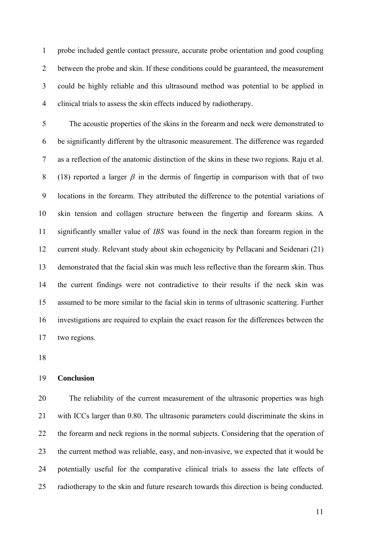1 probe included gentle contact pressure, accurate probe orientation and good coupling 2 between the probe and skin. If these conditions could be guaranteed, the measurement 3 could be highly reliable and this ultrasound method was potential to be applied in 4 clinical trials to assess the skin effects induced by radiotherapy.

5 The acoustic properties of the skins in the forearm and neck were demonstrated to 6 be significantly different by the ultrasonic measurement. The difference was regarded 7 as a reflection of the anatomic distinction of the skins in these two regions. Raju et al. 8 (18) reported a larger  $\beta$  in the dermis of fingertip in comparison with that of two 9 locations in the forearm. They attributed the difference to the potential variations of 10 skin tension and collagen structure between the fingertip and forearm skins. A 11 significantly smaller value of *IBS* was found in the neck than forearm region in the 12 current study. Relevant study about skin echogenicity by Pellacani and Seidenari (21) 13 demonstrated that the facial skin was much less reflective than the forearm skin. Thus 14 the current findings were not contradictive to their results if the neck skin was 15 assumed to be more similar to the facial skin in terms of ultrasonic scattering. Further 16 investigations are required to explain the exact reason for the differences between the 17 two regions.

18

### 19 **Conclusion**

20 The reliability of the current measurement of the ultrasonic properties was high 21 with ICCs larger than 0.80. The ultrasonic parameters could discriminate the skins in 22 the forearm and neck regions in the normal subjects. Considering that the operation of 23 the current method was reliable, easy, and non-invasive, we expected that it would be 24 potentially useful for the comparative clinical trials to assess the late effects of 25 radiotherapy to the skin and future research towards this direction is being conducted.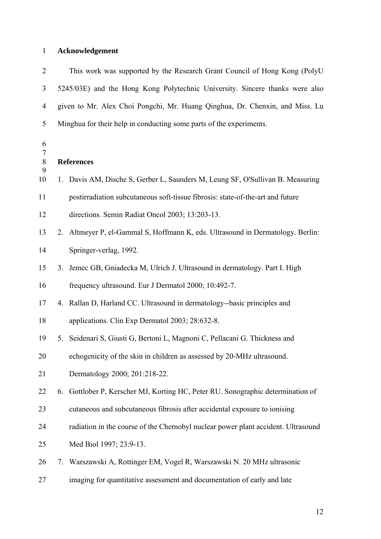## 1 **Acknowledgement**

2 This work was supported by the Research Grant Council of Hong Kong (PolyU 3 5245/03E) and the Hong Kong Polytechnic University. Sincere thanks were also 4 given to Mr. Alex Choi Pongchi, Mr. Huang Qinghua, Dr. Chenxin, and Miss. Lu 5 Minghua for their help in conducting some parts of the experiments.

| 6<br>$\overline{7}$<br>$\,8\,$ |    | <b>References</b>                                                                 |
|--------------------------------|----|-----------------------------------------------------------------------------------|
| 9<br>10                        |    | 1. Davis AM, Dische S, Gerber L, Saunders M, Leung SF, O'Sullivan B. Measuring    |
| 11                             |    | postirradiation subcutaneous soft-tissue fibrosis: state-of-the-art and future    |
| 12                             |    | directions. Semin Radiat Oncol 2003; 13:203-13.                                   |
| 13                             |    | 2. Altmeyer P, el-Gammal S, Hoffmann K, eds. Ultrasound in Dermatology. Berlin:   |
| 14                             |    | Springer-verlag, 1992.                                                            |
| 15                             | 3. | Jemec GB, Gniadecka M, Ulrich J. Ultrasound in dermatology. Part I. High          |
| 16                             |    | frequency ultrasound. Eur J Dermatol 2000; 10:492-7.                              |
| 17                             |    | 4. Rallan D, Harland CC. Ultrasound in dermatology--basic principles and          |
| 18                             |    | applications. Clin Exp Dermatol 2003; 28:632-8.                                   |
| 19                             |    | 5. Seidenari S, Giusti G, Bertoni L, Magnoni C, Pellacani G. Thickness and        |
| 20                             |    | echogenicity of the skin in children as assessed by 20-MHz ultrasound.            |
| 21                             |    | Dermatology 2000; 201:218-22.                                                     |
| 22                             |    | 6. Gottlober P, Kerscher MJ, Korting HC, Peter RU. Sonographic determination of   |
| 23                             |    | cutaneous and subcutaneous fibrosis after accidental exposure to ionising         |
| 24                             |    | radiation in the course of the Chernobyl nuclear power plant accident. Ultrasound |
| 25                             |    | Med Biol 1997; 23:9-13.                                                           |
| 26                             | 7. | Warszawski A, Rottinger EM, Vogel R, Warszawski N. 20 MHz ultrasonic              |
| 27                             |    | imaging for quantitative assessment and documentation of early and late           |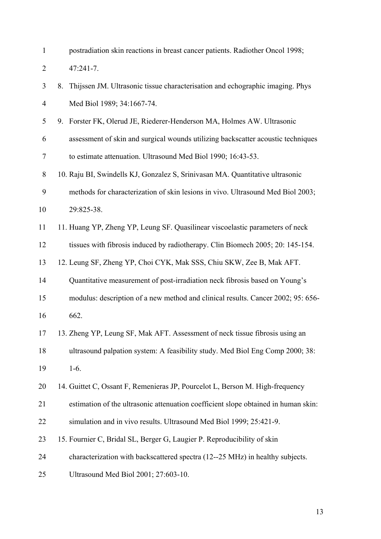| $\mathbf{1}$   |    | postradiation skin reactions in breast cancer patients. Radiother Oncol 1998;      |
|----------------|----|------------------------------------------------------------------------------------|
| $\overline{2}$ |    | $47:241 - 7$ .                                                                     |
| 3              | 8. | Thijssen JM. Ultrasonic tissue characterisation and echographic imaging. Phys      |
| $\overline{4}$ |    | Med Biol 1989; 34:1667-74.                                                         |
| 5              |    | 9. Forster FK, Olerud JE, Riederer-Henderson MA, Holmes AW. Ultrasonic             |
| 6              |    | assessment of skin and surgical wounds utilizing backscatter acoustic techniques   |
| 7              |    | to estimate attenuation. Ultrasound Med Biol 1990; 16:43-53.                       |
| $8\,$          |    | 10. Raju BI, Swindells KJ, Gonzalez S, Srinivasan MA. Quantitative ultrasonic      |
| 9              |    | methods for characterization of skin lesions in vivo. Ultrasound Med Biol 2003;    |
| 10             |    | 29:825-38.                                                                         |
| 11             |    | 11. Huang YP, Zheng YP, Leung SF. Quasilinear viscoelastic parameters of neck      |
| 12             |    | tissues with fibrosis induced by radiotherapy. Clin Biomech 2005; 20: 145-154.     |
| 13             |    | 12. Leung SF, Zheng YP, Choi CYK, Mak SSS, Chiu SKW, Zee B, Mak AFT.               |
| 14             |    | Quantitative measurement of post-irradiation neck fibrosis based on Young's        |
| 15             |    | modulus: description of a new method and clinical results. Cancer 2002; 95: 656-   |
| 16             |    | 662.                                                                               |
| 17             |    | 13. Zheng YP, Leung SF, Mak AFT. Assessment of neck tissue fibrosis using an       |
| 18             |    | ultrasound palpation system: A feasibility study. Med Biol Eng Comp 2000; 38:      |
| 19             |    | $1-6.$                                                                             |
| 20             |    | 14. Guittet C, Ossant F, Remenieras JP, Pourcelot L, Berson M. High-frequency      |
| 21             |    | estimation of the ultrasonic attenuation coefficient slope obtained in human skin: |
| 22             |    | simulation and in vivo results. Ultrasound Med Biol 1999; 25:421-9.                |
| 23             |    | 15. Fournier C, Bridal SL, Berger G, Laugier P. Reproducibility of skin            |
| 24             |    | characterization with backscattered spectra (12--25 MHz) in healthy subjects.      |
| 25             |    | Ultrasound Med Biol 2001; 27:603-10.                                               |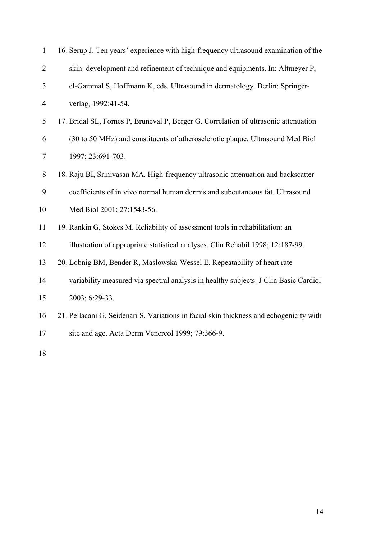| $\mathbf{1}$   | 16. Serup J. Ten years' experience with high-frequency ultrasound examination of the    |
|----------------|-----------------------------------------------------------------------------------------|
| $\overline{2}$ | skin: development and refinement of technique and equipments. In: Altmeyer P,           |
| $\mathfrak{Z}$ | el-Gammal S, Hoffmann K, eds. Ultrasound in dermatology. Berlin: Springer-              |
| $\overline{4}$ | verlag, 1992:41-54.                                                                     |
| 5              | 17. Bridal SL, Fornes P, Bruneval P, Berger G. Correlation of ultrasonic attenuation    |
| 6              | (30 to 50 MHz) and constituents of atherosclerotic plaque. Ultrasound Med Biol          |
| $\tau$         | 1997; 23:691-703.                                                                       |
| $\, 8$         | 18. Raju BI, Srinivasan MA. High-frequency ultrasonic attenuation and backscatter       |
| 9              | coefficients of in vivo normal human dermis and subcutaneous fat. Ultrasound            |
| 10             | Med Biol 2001; 27:1543-56.                                                              |
| 11             | 19. Rankin G, Stokes M. Reliability of assessment tools in rehabilitation: an           |
| 12             | illustration of appropriate statistical analyses. Clin Rehabil 1998; 12:187-99.         |
| 13             | 20. Lobnig BM, Bender R, Maslowska-Wessel E. Repeatability of heart rate                |
| 14             | variability measured via spectral analysis in healthy subjects. J Clin Basic Cardiol    |
| 15             | 2003; 6:29-33.                                                                          |
| 16             | 21. Pellacani G, Seidenari S. Variations in facial skin thickness and echogenicity with |
| 17             | site and age. Acta Derm Venereol 1999; 79:366-9.                                        |
|                |                                                                                         |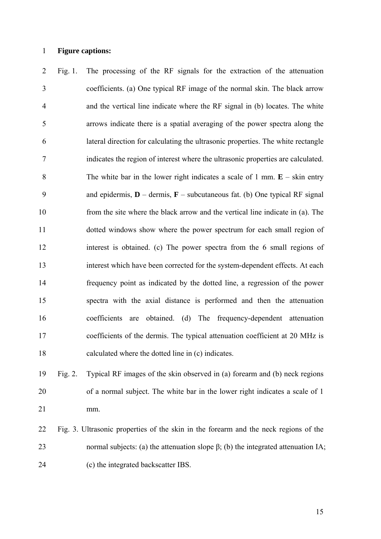#### 1 **Figure captions:**

2 Fig. 1. The processing of the RF signals for the extraction of the attenuation 3 coefficients. (a) One typical RF image of the normal skin. The black arrow 4 and the vertical line indicate where the RF signal in (b) locates. The white 5 arrows indicate there is a spatial averaging of the power spectra along the 6 lateral direction for calculating the ultrasonic properties. The white rectangle 7 indicates the region of interest where the ultrasonic properties are calculated. 8 The white bar in the lower right indicates a scale of 1 mm. **E** – skin entry 9 and epidermis, **D** – dermis, **F** – subcutaneous fat. (b) One typical RF signal 10 from the site where the black arrow and the vertical line indicate in (a). The 11 dotted windows show where the power spectrum for each small region of 12 interest is obtained. (c) The power spectra from the 6 small regions of 13 interest which have been corrected for the system-dependent effects. At each 14 frequency point as indicated by the dotted line, a regression of the power 15 spectra with the axial distance is performed and then the attenuation 16 coefficients are obtained. (d) The frequency-dependent attenuation 17 coefficients of the dermis. The typical attenuation coefficient at 20 MHz is 18 calculated where the dotted line in (c) indicates.

19 Fig. 2. Typical RF images of the skin observed in (a) forearm and (b) neck regions 20 of a normal subject. The white bar in the lower right indicates a scale of 1 21 mm.

22 Fig. 3. Ultrasonic properties of the skin in the forearm and the neck regions of the 23 normal subjects: (a) the attenuation slope β; (b) the integrated attenuation IA; 24 (c) the integrated backscatter IBS.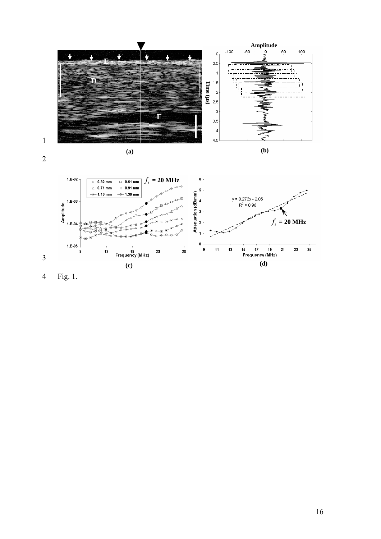



4 Fig. 1.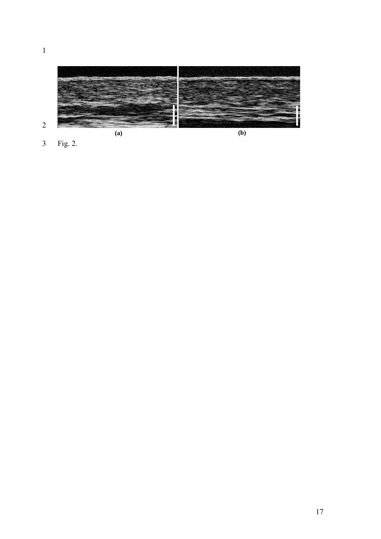

3 Fig. 2.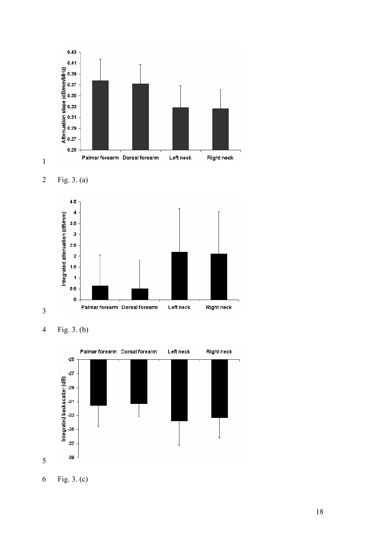











6 Fig. 3. (c)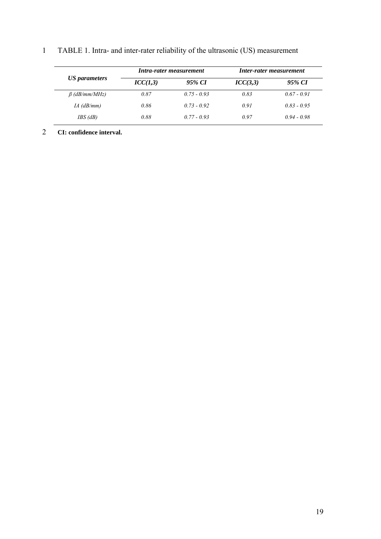# 1 TABLE 1. Intra- and inter-rater reliability of the ultrasonic (US) measurement

|                     |          | Intra-rater measurement | Inter-rater measurement |               |  |
|---------------------|----------|-------------------------|-------------------------|---------------|--|
| US parameters       | ICC(1,3) | 95% CI                  | ICC(3,3)                | 95% CI        |  |
| $\beta$ (dB/mm/MHz) | 0.87     | $0.75 - 0.93$           | 0.83                    | $0.67 - 0.91$ |  |
| $IA$ ( $dB/mm$ )    | 0.86     | $0.73 - 0.92$           | 0.91                    | $0.83 - 0.95$ |  |
| $IBS$ $(dB)$        | 0.88     | $0.77 - 0.93$           | 0.97                    | $0.94 - 0.98$ |  |

2 **CI: confidence interval.**